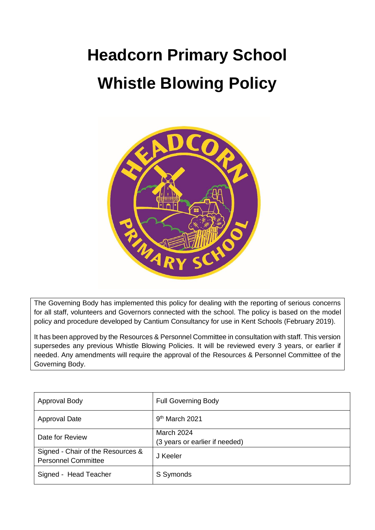# **Headcorn Primary School Whistle Blowing Policy**



The Governing Body has implemented this policy for dealing with the reporting of serious concerns for all staff, volunteers and Governors connected with the school. The policy is based on the model policy and procedure developed by Cantium Consultancy for use in Kent Schools (February 2019).

It has been approved by the Resources & Personnel Committee in consultation with staff. This version supersedes any previous Whistle Blowing Policies. It will be reviewed every 3 years, or earlier if needed. Any amendments will require the approval of the Resources & Personnel Committee of the Governing Body.

| Approval Body                                                   | <b>Full Governing Body</b>                   |
|-----------------------------------------------------------------|----------------------------------------------|
| <b>Approval Date</b>                                            | 9 <sup>th</sup> March 2021                   |
| Date for Review                                                 | March 2024<br>(3 years or earlier if needed) |
| Signed - Chair of the Resources &<br><b>Personnel Committee</b> | J Keeler                                     |
| Signed - Head Teacher                                           | S Symonds                                    |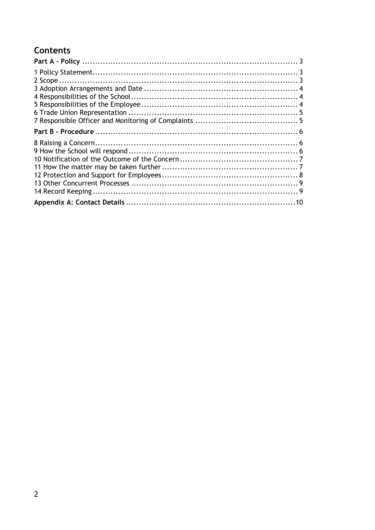# Contents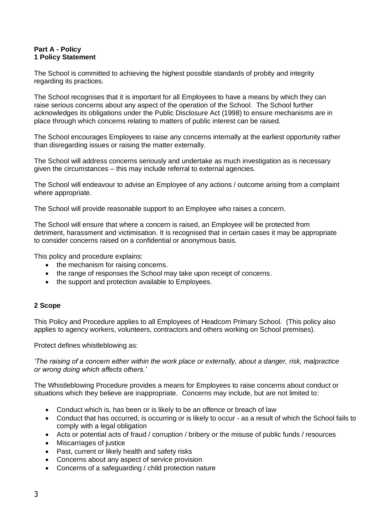#### <span id="page-2-1"></span><span id="page-2-0"></span>**Part A - Policy 1 Policy Statement**

The School is committed to achieving the highest possible standards of probity and integrity regarding its practices.

The School recognises that it is important for all Employees to have a means by which they can raise serious concerns about any aspect of the operation of the School. The School further acknowledges its obligations under the Public Disclosure Act (1998) to ensure mechanisms are in place through which concerns relating to matters of public interest can be raised.

The School encourages Employees to raise any concerns internally at the earliest opportunity rather than disregarding issues or raising the matter externally.

The School will address concerns seriously and undertake as much investigation as is necessary given the circumstances – this may include referral to external agencies.

The School will endeavour to advise an Employee of any actions / outcome arising from a complaint where appropriate.

The School will provide reasonable support to an Employee who raises a concern.

The School will ensure that where a concern is raised, an Employee will be protected from detriment, harassment and victimisation. It is recognised that in certain cases it may be appropriate to consider concerns raised on a confidential or anonymous basis.

This policy and procedure explains:

- the mechanism for raising concerns.
- the range of responses the School may take upon receipt of concerns.
- the support and protection available to Employees.

#### <span id="page-2-2"></span>**2 Scope**

This Policy and Procedure applies to all Employees of Headcorn Primary School. (This policy also applies to agency workers, volunteers, contractors and others working on School premises).

Protect defines whistleblowing as:

*'The raising of a concern either within the work place or externally, about a danger, risk, malpractice or wrong doing which affects others.'*

The Whistleblowing Procedure provides a means for Employees to raise concerns about conduct or situations which they believe are inappropriate. Concerns may include, but are not limited to:

- Conduct which is, has been or is likely to be an offence or breach of law
- Conduct that has occurred, is occurring or is likely to occur as a result of which the School fails to comply with a legal obligation
- Acts or potential acts of fraud / corruption / bribery or the misuse of public funds / resources
- Miscarriages of justice
- Past, current or likely health and safety risks
- Concerns about any aspect of service provision
- Concerns of a safeguarding / child protection nature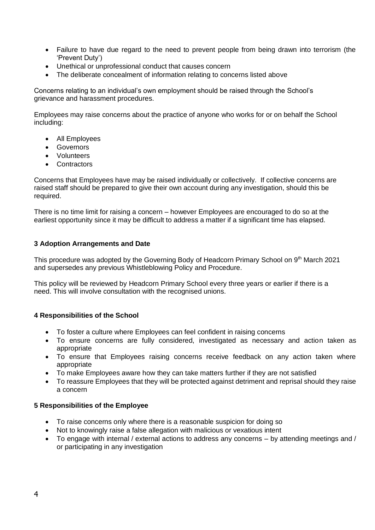- Failure to have due regard to the need to prevent people from being drawn into terrorism (the 'Prevent Duty')
- Unethical or unprofessional conduct that causes concern
- The deliberate concealment of information relating to concerns listed above

Concerns relating to an individual's own employment should be raised through the School's grievance and harassment procedures.

Employees may raise concerns about the practice of anyone who works for or on behalf the School including:

- All Employees
- Governors
- Volunteers
- Contractors

Concerns that Employees have may be raised individually or collectively. If collective concerns are raised staff should be prepared to give their own account during any investigation, should this be required.

There is no time limit for raising a concern – however Employees are encouraged to do so at the earliest opportunity since it may be difficult to address a matter if a significant time has elapsed.

#### <span id="page-3-0"></span>**3 Adoption Arrangements and Date**

This procedure was adopted by the Governing Body of Headcorn Primary School on 9<sup>th</sup> March 2021 and supersedes any previous Whistleblowing Policy and Procedure.

This policy will be reviewed by Headcorn Primary School every three years or earlier if there is a need. This will involve consultation with the recognised unions.

#### <span id="page-3-1"></span>**4 Responsibilities of the School**

- To foster a culture where Employees can feel confident in raising concerns
- To ensure concerns are fully considered, investigated as necessary and action taken as appropriate
- To ensure that Employees raising concerns receive feedback on any action taken where appropriate
- To make Employees aware how they can take matters further if they are not satisfied
- To reassure Employees that they will be protected against detriment and reprisal should they raise a concern

#### <span id="page-3-2"></span>**5 Responsibilities of the Employee**

- To raise concerns only where there is a reasonable suspicion for doing so
- Not to knowingly raise a false allegation with malicious or vexatious intent
- To engage with internal / external actions to address any concerns by attending meetings and / or participating in any investigation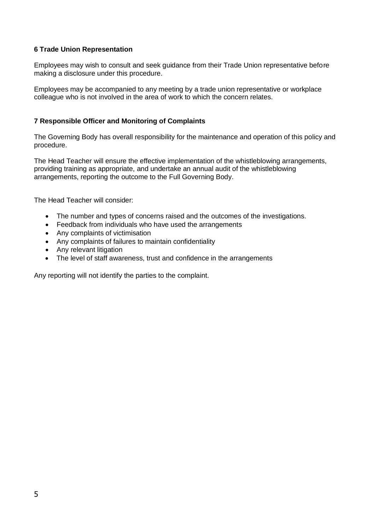#### <span id="page-4-0"></span>**6 Trade Union Representation**

Employees may wish to consult and seek guidance from their Trade Union representative before making a disclosure under this procedure.

Employees may be accompanied to any meeting by a trade union representative or workplace colleague who is not involved in the area of work to which the concern relates.

#### <span id="page-4-1"></span>**7 Responsible Officer and Monitoring of Complaints**

The Governing Body has overall responsibility for the maintenance and operation of this policy and procedure.

The Head Teacher will ensure the effective implementation of the whistleblowing arrangements, providing training as appropriate, and undertake an annual audit of the whistleblowing arrangements, reporting the outcome to the Full Governing Body.

The Head Teacher will consider:

- The number and types of concerns raised and the outcomes of the investigations.
- Feedback from individuals who have used the arrangements
- Any complaints of victimisation
- Any complaints of failures to maintain confidentiality
- Any relevant litigation
- The level of staff awareness, trust and confidence in the arrangements

Any reporting will not identify the parties to the complaint.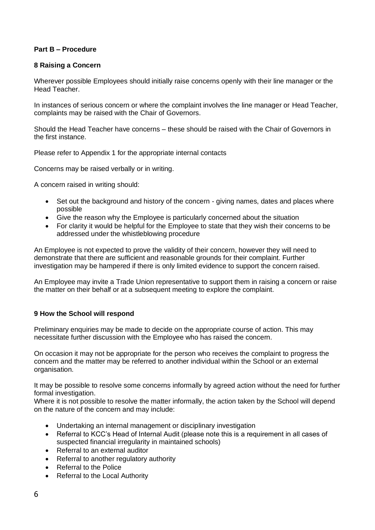#### <span id="page-5-0"></span>**Part B – Procedure**

#### <span id="page-5-1"></span>**8 Raising a Concern**

Wherever possible Employees should initially raise concerns openly with their line manager or the Head Teacher.

In instances of serious concern or where the complaint involves the line manager or Head Teacher, complaints may be raised with the Chair of Governors.

Should the Head Teacher have concerns – these should be raised with the Chair of Governors in the first instance.

Please refer to Appendix 1 for the appropriate internal contacts

Concerns may be raised verbally or in writing.

A concern raised in writing should:

- Set out the background and history of the concern giving names, dates and places where possible
- Give the reason why the Employee is particularly concerned about the situation
- For clarity it would be helpful for the Employee to state that they wish their concerns to be addressed under the whistleblowing procedure

An Employee is not expected to prove the validity of their concern, however they will need to demonstrate that there are sufficient and reasonable grounds for their complaint. Further investigation may be hampered if there is only limited evidence to support the concern raised.

An Employee may invite a Trade Union representative to support them in raising a concern or raise the matter on their behalf or at a subsequent meeting to explore the complaint.

#### <span id="page-5-2"></span>**9 How the School will respond**

Preliminary enquiries may be made to decide on the appropriate course of action. This may necessitate further discussion with the Employee who has raised the concern.

On occasion it may not be appropriate for the person who receives the complaint to progress the concern and the matter may be referred to another individual within the School or an external organisation.

It may be possible to resolve some concerns informally by agreed action without the need for further formal investigation.

Where it is not possible to resolve the matter informally, the action taken by the School will depend on the nature of the concern and may include:

- Undertaking an internal management or disciplinary investigation
- Referral to KCC's Head of Internal Audit (please note this is a requirement in all cases of suspected financial irregularity in maintained schools)
- Referral to an external auditor
- Referral to another regulatory authority
- Referral to the Police
- Referral to the Local Authority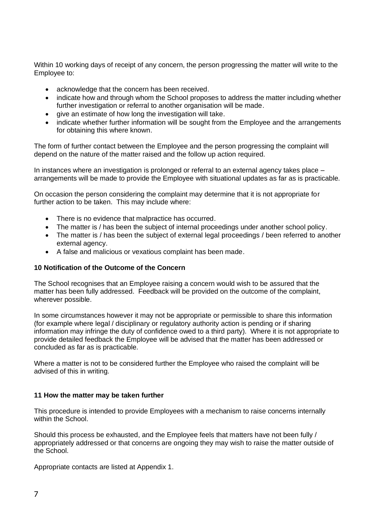Within 10 working days of receipt of any concern, the person progressing the matter will write to the Employee to:

- acknowledge that the concern has been received.
- indicate how and through whom the School proposes to address the matter including whether further investigation or referral to another organisation will be made.
- give an estimate of how long the investigation will take.
- indicate whether further information will be sought from the Employee and the arrangements for obtaining this where known.

The form of further contact between the Employee and the person progressing the complaint will depend on the nature of the matter raised and the follow up action required.

In instances where an investigation is prolonged or referral to an external agency takes place – arrangements will be made to provide the Employee with situational updates as far as is practicable.

On occasion the person considering the complaint may determine that it is not appropriate for further action to be taken. This may include where:

- There is no evidence that malpractice has occurred.
- The matter is / has been the subject of internal proceedings under another school policy.
- The matter is / has been the subject of external legal proceedings / been referred to another external agency.
- A false and malicious or vexatious complaint has been made.

#### <span id="page-6-0"></span>**10 Notification of the Outcome of the Concern**

The School recognises that an Employee raising a concern would wish to be assured that the matter has been fully addressed. Feedback will be provided on the outcome of the complaint, wherever possible.

In some circumstances however it may not be appropriate or permissible to share this information (for example where legal / disciplinary or regulatory authority action is pending or if sharing information may infringe the duty of confidence owed to a third party). Where it is not appropriate to provide detailed feedback the Employee will be advised that the matter has been addressed or concluded as far as is practicable.

Where a matter is not to be considered further the Employee who raised the complaint will be advised of this in writing.

#### <span id="page-6-1"></span>**11 How the matter may be taken further**

This procedure is intended to provide Employees with a mechanism to raise concerns internally within the School.

Should this process be exhausted, and the Employee feels that matters have not been fully / appropriately addressed or that concerns are ongoing they may wish to raise the matter outside of the School.

Appropriate contacts are listed at Appendix 1.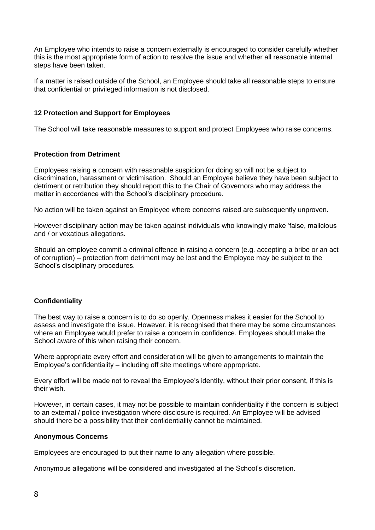An Employee who intends to raise a concern externally is encouraged to consider carefully whether this is the most appropriate form of action to resolve the issue and whether all reasonable internal steps have been taken.

If a matter is raised outside of the School, an Employee should take all reasonable steps to ensure that confidential or privileged information is not disclosed.

#### <span id="page-7-0"></span>**12 Protection and Support for Employees**

The School will take reasonable measures to support and protect Employees who raise concerns.

#### **Protection from Detriment**

Employees raising a concern with reasonable suspicion for doing so will not be subject to discrimination, harassment or victimisation. Should an Employee believe they have been subject to detriment or retribution they should report this to the Chair of Governors who may address the matter in accordance with the School's disciplinary procedure.

No action will be taken against an Employee where concerns raised are subsequently unproven.

However disciplinary action may be taken against individuals who knowingly make 'false, malicious and / or vexatious allegations.

Should an employee commit a criminal offence in raising a concern (e.g. accepting a bribe or an act of corruption) – protection from detriment may be lost and the Employee may be subject to the School's disciplinary procedures.

## **Confidentiality**

The best way to raise a concern is to do so openly. Openness makes it easier for the School to assess and investigate the issue. However, it is recognised that there may be some circumstances where an Employee would prefer to raise a concern in confidence. Employees should make the School aware of this when raising their concern.

Where appropriate every effort and consideration will be given to arrangements to maintain the Employee's confidentiality – including off site meetings where appropriate.

Every effort will be made not to reveal the Employee's identity, without their prior consent, if this is their wish.

However, in certain cases, it may not be possible to maintain confidentiality if the concern is subject to an external / police investigation where disclosure is required. An Employee will be advised should there be a possibility that their confidentiality cannot be maintained.

#### **Anonymous Concerns**

Employees are encouraged to put their name to any allegation where possible.

Anonymous allegations will be considered and investigated at the School's discretion.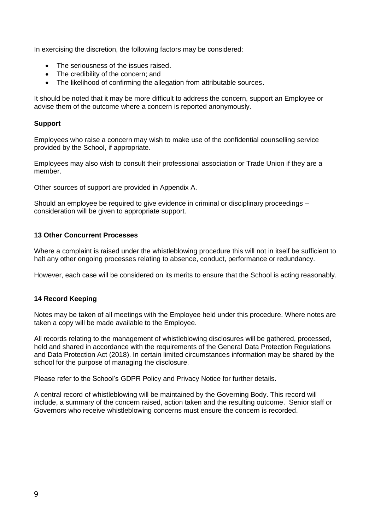In exercising the discretion, the following factors may be considered:

- The seriousness of the issues raised.
- The credibility of the concern; and
- The likelihood of confirming the allegation from attributable sources.

It should be noted that it may be more difficult to address the concern, support an Employee or advise them of the outcome where a concern is reported anonymously.

#### **Support**

Employees who raise a concern may wish to make use of the confidential counselling service provided by the School, if appropriate.

Employees may also wish to consult their professional association or Trade Union if they are a member.

Other sources of support are provided in Appendix A.

Should an employee be required to give evidence in criminal or disciplinary proceedings – consideration will be given to appropriate support.

#### <span id="page-8-0"></span>**13 Other Concurrent Processes**

Where a complaint is raised under the whistleblowing procedure this will not in itself be sufficient to halt any other ongoing processes relating to absence, conduct, performance or redundancy.

However, each case will be considered on its merits to ensure that the School is acting reasonably.

#### <span id="page-8-1"></span>**14 Record Keeping**

Notes may be taken of all meetings with the Employee held under this procedure. Where notes are taken a copy will be made available to the Employee.

All records relating to the management of whistleblowing disclosures will be gathered, processed, held and shared in accordance with the requirements of the General Data Protection Regulations and Data Protection Act (2018). In certain limited circumstances information may be shared by the school for the purpose of managing the disclosure.

Please refer to the School's GDPR Policy and Privacy Notice for further details.

A central record of whistleblowing will be maintained by the Governing Body. This record will include, a summary of the concern raised, action taken and the resulting outcome. Senior staff or Governors who receive whistleblowing concerns must ensure the concern is recorded.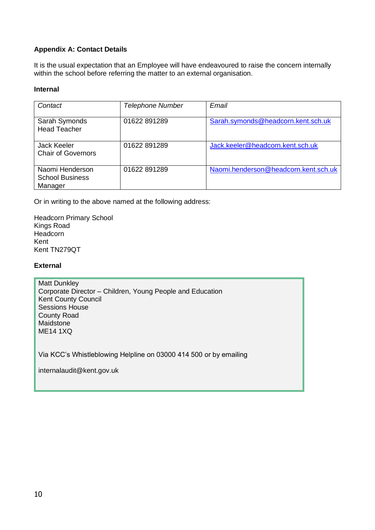## <span id="page-9-0"></span>**Appendix A: Contact Details**

It is the usual expectation that an Employee will have endeavoured to raise the concern internally within the school before referring the matter to an external organisation.

#### **Internal**

| Contact                                              | <b>Telephone Number</b> | Email                                |
|------------------------------------------------------|-------------------------|--------------------------------------|
| Sarah Symonds<br><b>Head Teacher</b>                 | 01622 891289            | Sarah.symonds@headcorn.kent.sch.uk   |
| Jack Keeler<br><b>Chair of Governors</b>             | 01622 891289            | Jack.keeler@headcorn.kent.sch.uk     |
| Naomi Henderson<br><b>School Business</b><br>Manager | 01622 891289            | Naomi.henderson@headcorn.kent.sch.uk |

Or in writing to the above named at the following address:

Headcorn Primary School Kings Road **Headcorn** Kent Kent TN279QT

#### **External**

Matt Dunkley Corporate Director – Children, Young People and Education Kent County Council Sessions House County Road Maidstone ME14 1XQ

Via KCC's Whistleblowing Helpline on 03000 414 500 or by emailing

internalaudit@kent.gov.uk